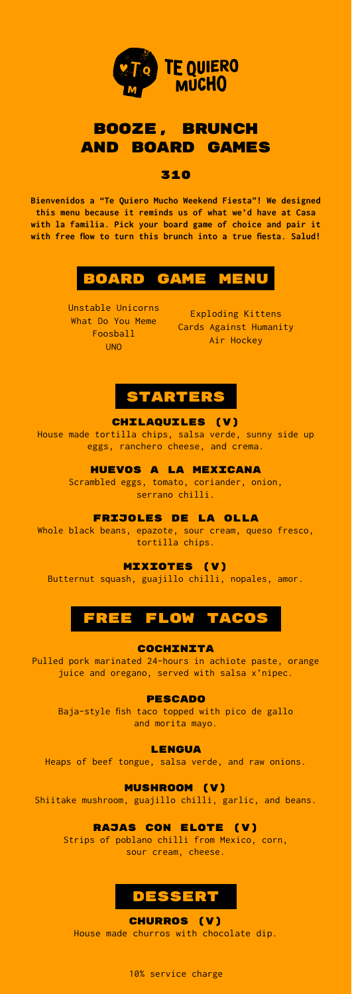

## booze, brunch and board games

#### 310

**Bienvenidos a "Te Quiero Mucho Weekend Fiesta"! We designed this menu because it reminds us of what we'd have at Casa with la familia. Pick your board game of choice and pair it with free flow to turn this brunch into a true fiesta. Salud!**

# board game menu

Unstable Unicorns What Do You Meme Foosball UNO

Exploding Kittens Cards Against Humanity Air Hockey



### CHILAQUILES (V)

House made tortilla chips, salsa verde, sunny side up eggs, ranchero cheese, and crema.

#### HUEVOS A LA MEXICANA

Scrambled eggs, tomato, coriander, onion, serrano chilli.

FRIJOLES DE LA OLLA

Whole black beans, epazote, sour cream, queso fresco, tortilla chips.

### MIXIOTES (V)

Butternut squash, guajillo chilli, nopales, amor.

# FREE FLOW TACO

**COCHINITA** 

Pulled pork marinated 24-hours in achiote paste, orange juice and oregano, served with salsa x'nipec.

**PESCADO** 

Baja-style fish taco topped with pico de gallo and morita mayo.

**LENGUA** 

Heaps of beef tongue, salsa verde, and raw onions.

Mushroom (v)

Shiitake mushroom, guajillo chilli, garlic, and beans.

RAJAS CON ELOTE (V)

Strips of poblano chilli from Mexico, corn, sour cream, cheese.



Churros (V) House made churros with chocolate dip.

10% service charge